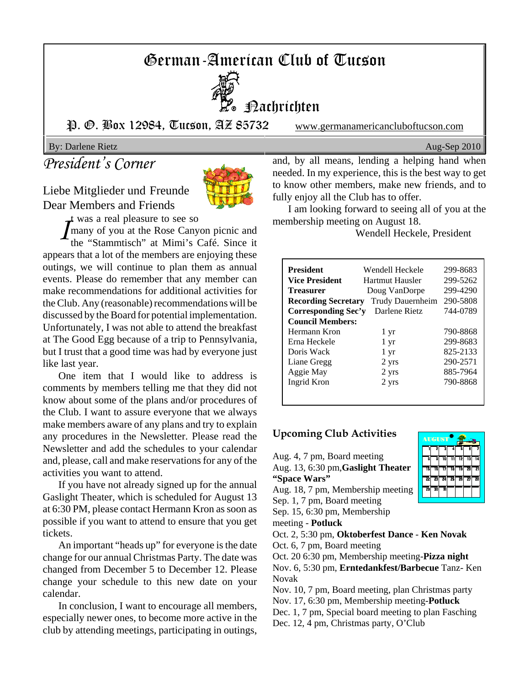# German-American Club of Tucson



Nachrichten

P. O. Box 12984, Tucson, AZ 85732 www.germanamericancluboftucson.com

By: Darlene Rietz Aug-Sep 2010

## *President's Corner*

Liebe Mitglieder und Freunde Dear Members and Friends



t was a real pleasure to see so

*I* many of you at the Rose Canyon picnic and the "Stammtisch" at Mimi's Café. Since it appears that a lot of the members are enjoying these outings, we will continue to plan them as annual events. Please do remember that any member can make recommendations for additional activities for the Club. Any (reasonable) recommendations will be discussed by the Board for potential implementation. Unfortunately, I was not able to attend the breakfast at The Good Egg because of a trip to Pennsylvania, but I trust that a good time was had by everyone just like last year.

One item that I would like to address is comments by members telling me that they did not know about some of the plans and/or procedures of the Club. I want to assure everyone that we always make members aware of any plans and try to explain any procedures in the Newsletter. Please read the Newsletter and add the schedules to your calendar and, please, call and make reservations for any of the activities you want to attend.

If you have not already signed up for the annual Gaslight Theater, which is scheduled for August 13 at 6:30 PM, please contact Hermann Kron as soon as possible if you want to attend to ensure that you get tickets.

An important "heads up" for everyone is the date change for our annual Christmas Party. The date was changed from December 5 to December 12. Please change your schedule to this new date on your calendar.

In conclusion, I want to encourage all members, especially newer ones, to become more active in the club by attending meetings, participating in outings,

and, by all means, lending a helping hand when needed. In my experience, this is the best way to get to know other members, make new friends, and to fully enjoy all the Club has to offer.

I am looking forward to seeing all of you at the membership meeting on August 18.

Wendell Heckele, President

| <b>President</b>           | Wendell Heckele  | 299-8683 |
|----------------------------|------------------|----------|
| Vice President             | Hartmut Hausler  | 299-5262 |
| Treasurer                  | Doug VanDorpe    | 299-4290 |
| <b>Recording Secretary</b> | Trudy Dauernheim | 290-5808 |
| Corresponding Sec'y        | Darlene Rietz    | 744-0789 |
| <b>Council Members:</b>    |                  |          |
| Hermann Kron               | 1 yr             | 790-8868 |
| Erna Heckele               | 1 yr             | 299-8683 |
| Doris Wack                 | 1 yr             | 825-2133 |
| Liane Gregg                | 2 yrs            | 290-2571 |
| Aggie May                  | 2 yrs            | 885-7964 |
| Ingrid Kron                | 2 yrs            | 790-8868 |
|                            |                  |          |

#### **Upcoming Club Activities**

Aug. 4, 7 pm, Board meeting

Aug. 13, 6:30 pm,**Gaslight Theater "Space Wars"**

Aug. 18, 7 pm, Membership meeting

Sep. 1, 7 pm, Board meeting

Sep. 15, 6:30 pm, Membership

meeting - **Potluck**

Oct. 2, 5:30 pm, **Oktoberfest Dance** - **Ken Novak**

Oct. 6, 7 pm, Board meeting

Oct. 20 6:30 pm, Membership meeting-**Pizza night**

Nov. 6, 5:30 pm, **Erntedankfest/Barbecue** Tanz- Ken Novak

Nov. 10, 7 pm, Board meeting, plan Christmas party

Nov. 17, 6:30 pm, Membership meeting-**Potluck**

Dec. 1, 7 pm, Special board meeting to plan Fasching

Dec. 12, 4 pm, Christmas party, O'Club

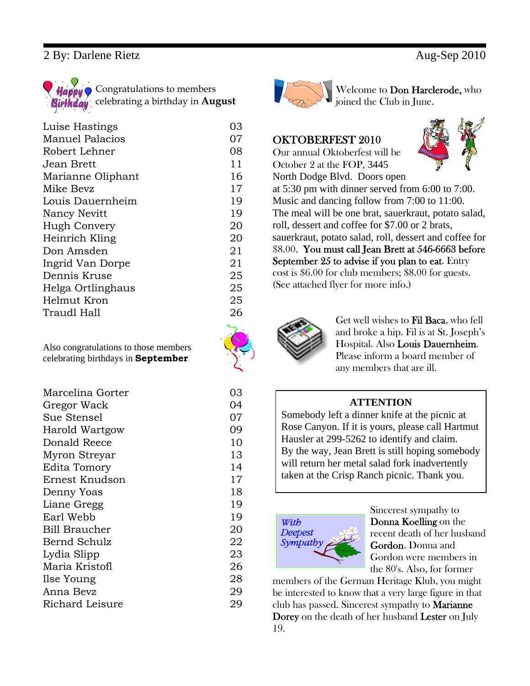#### 2 By: Darlene Rietz Aug-Sep 2010



| Luise Hastings         | 03 |
|------------------------|----|
| <b>Manuel Palacios</b> | 07 |
| Robert Lehner          | 08 |
| Jean Brett             | 11 |
| Marianne Oliphant      | 16 |
| Mike Bevz              | 17 |
| Louis Dauernheim       | 19 |
| Nancy Nevitt           | 19 |
| Hugh Convery           | 20 |
| Heinrich Kling         | 20 |
| Don Amsden             | 21 |
| Ingrid Van Dorpe       | 21 |
| Dennis Kruse           | 25 |
| Helga Ortlinghaus      | 25 |
| Helmut Kron            | 25 |
| Traudl Hall            | 26 |
|                        |    |

Also congratulations to those members celebrating birthdays in **September**

| Marcelina Gorter | 03 |
|------------------|----|
| Gregor Wack      | 04 |
| Sue Stensel      | 07 |
| Harold Wartgow   | 09 |
| Donald Reece     | 10 |
| Myron Streyar    | 13 |
| Edita Tomory     | 14 |
| Ernest Knudson   | 17 |
| Denny Yoas       | 18 |
| Liane Gregg      | 19 |
| Earl Webb        | 19 |
| Bill Braucher    | 20 |
| Bernd Schulz     | 22 |
| Lydia Slipp      | 23 |
| Maria Kristofl   | 26 |
| Ilse Young       | 28 |
| Anna Bevz        | 29 |
| Richard Leisure  | 29 |



Welcome to Don Harclerode, who joined the Club in June.

#### OKTOBERFEST 2010

Our annual Oktoberfest will be October 2 at the FOP, 3445



North Dodge Blvd. Doors open at 5:30 pm with dinner served from 6:00 to 7:00. Music and dancing follow from 7:00 to 11:00. The meal will be one brat, sauerkraut, potato salad, roll, dessert and coffee for \$7.00 or 2 brats, sauerkraut, potato salad, roll, dessert and coffee for \$8.00. You must call Jean Brett at 546-6663 before September 25 to advise if you plan to eat. Entry cost is \$6.00 for club members; \$8.00 for guests. (See attached flyer for more info.)



Get well wishes to Fil Baca, who fell and broke a hip. Fil is at St. Joseph's Hospital. Also Louis Dauernheim. Please inform a board member of any members that are ill.

#### **ATTENTION**

Somebody left a dinner knife at the picnic at Rose Canyon. If it is yours, please call Hartmut Hausler at 299-5262 to identify and claim. By the way, Jean Brett is still hoping somebody will return her metal salad fork inadvertently taken at the Crisp Ranch picnic. Thank you.



Sincerest sympathy to Donna Koelling on the recent death of her husband Gordon. Donna and Gordon were members in the 80's. Also, for former

members of the German Heritage Klub, you might be interested to know that a very large figure in that club has passed. Sincerest sympathy to Marianne Dorey on the death of her husband Lester on July 19.